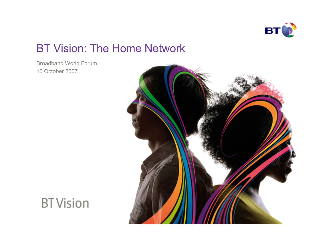

## BT Vision: The Home Network

Broadband World Forum 10 October 2007



**BT** Vision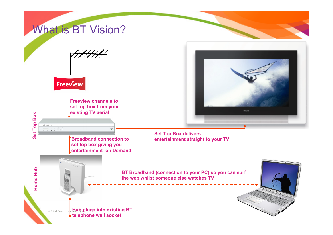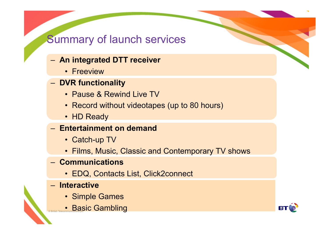## Summary of launch services

- **An integrated DTT receiver** 
	- Freeview
- **DVR functionality** 
	- Pause & Rewind Live TV
	- Record without videotapes (up to 80 hours)
	- HD Ready
- **Entertainment on demand** 
	- Catch-up TV
	- Films, Music, Classic and Contemporary TV shows
- **Communications** 
	- EDQ, Contacts List, Click2connect
- **Interactive** 
	- Simple Games
- **Basic Gambling**

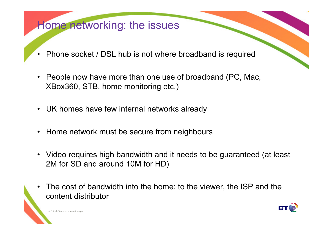## Home networking: the issues

- Phone socket / DSL hub is not where broadband is required
- People now have more than one use of broadband (PC, Mac, XBox360, STB, home monitoring etc.)
- UK homes have few internal networks already
- Home network must be secure from neighbours
- Video requires high bandwidth and it needs to be guaranteed (at least 2M for SD and around 10M for HD)
- The cost of bandwidth into the home: to the viewer, the ISP and the content distributor



© British Telecommunications plo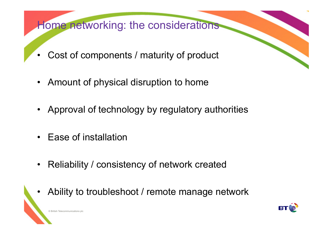Home networking: the considerations

- Cost of components / maturity of product
- Amount of physical disruption to home
- Approval of technology by regulatory authorities
- Ease of installation
- Reliability / consistency of network created